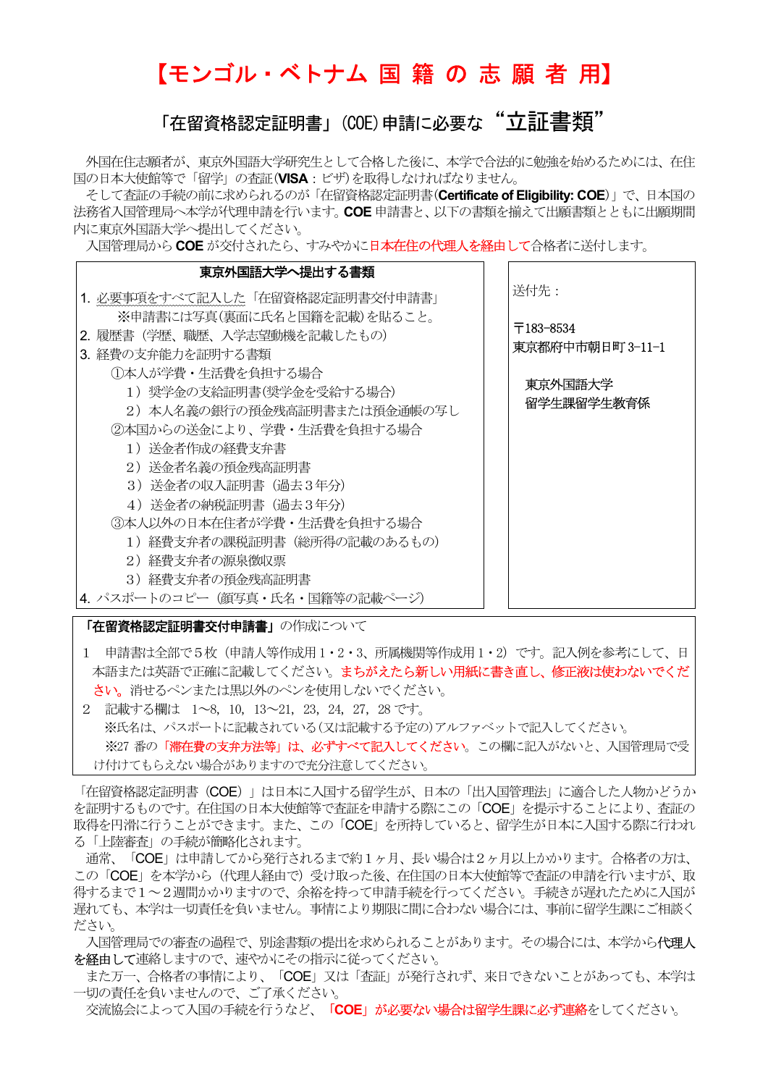# 【モンゴル・ベトナム 国 籍 の 志 願 者 用】

## 「在留資格認定証明書」(COE)申請に必要な "立証書類"

 外国在住志願者が、東京外国語大学研究生として合格した後に、本学で合法的に勉強を始めるためには、在住 国の日本大使館等で「留学」の査証(VISA:ビザ)を取得しなければなりません。

そして査証の手続の前に求められるのが「在留資格認定証明書(Certificate of Eligibility: COE)」で、日本国の 法務省入国管理局へ本学が代理申請を行います。COE 申請書と、以下の書類を揃えて出願書類とともに出願期間 内に東京外国語大学へ提出してください。

入国管理局から COE が交付されたら、すみやかに日本在住の代理人を経由して合格者に送付します。



- 1 申請書は全部で5枚(申請人等作成用 1・2・3、所属機関等作成用 1・2)です。記入例を参考にして、日 本語または英語で正確に記載してください。まちがえたら新しい用紙に書き直し、修正液は使わないでくだ さい。消せるペンまたは黒以外のペンを使用しないでください。
- 2 記載する欄は 1~8, 10, 13~21, 23,24, 27, 28 です。 ※氏名は、パスポートに記載されている(又は記載する予定の)アルファベットで記入してください。 ※27 番の「滞在費の支弁方法等」は、必ずすべて記入してください。この欄に記入がないと、入国管理局で受 け付けてもらえない場合がありますので充分注意してください。

「在留資格認定証明書 (COE) 」は日本に入国する留学生が、日本の「出入国管理法」に適合した人物かどうか を証明するものです。在住国の日本大使館等で査証を申請する際にこの「COE」を提示することにより、査証の 取得を円滑に行うことができます。また、この「COE」を所持していると、留学生が日本に入国する際に行われ る「上陸審査」の手続が簡略化されます。

 通常、「COE」は申請してから発行されるまで約1ヶ月、長い場合は2ヶ月以上かかります。合格者の方は、 この「COE」を本学から(代理人経由で)受け取った後、在住国の日本大使館等で査証の申請を行いますが、取 得するまで1~2週間かかりますので、余裕を持って申請手続を行ってください。手続きが遅れたために入国が 遅れても、本学は一切責任を負いません。事情により期限に間に合わない場合には、事前に留学生課にご相談く ださい。

入国管理局での審査の過程で、別途書類の提出を求められることがあります。その場合には、本学から代理人 を経由して連絡しますので、速やかにその指示に従ってください。

 また万一、合格者の事情により、「COE」又は「査証」が発行されず、来日できないことがあっても、本学は 一切の責任を負いませんので、ご了承ください。

交流協会によって入国の手続を行うなど、「COE」が必要ない場合は留学生課に必ず連絡をしてください。